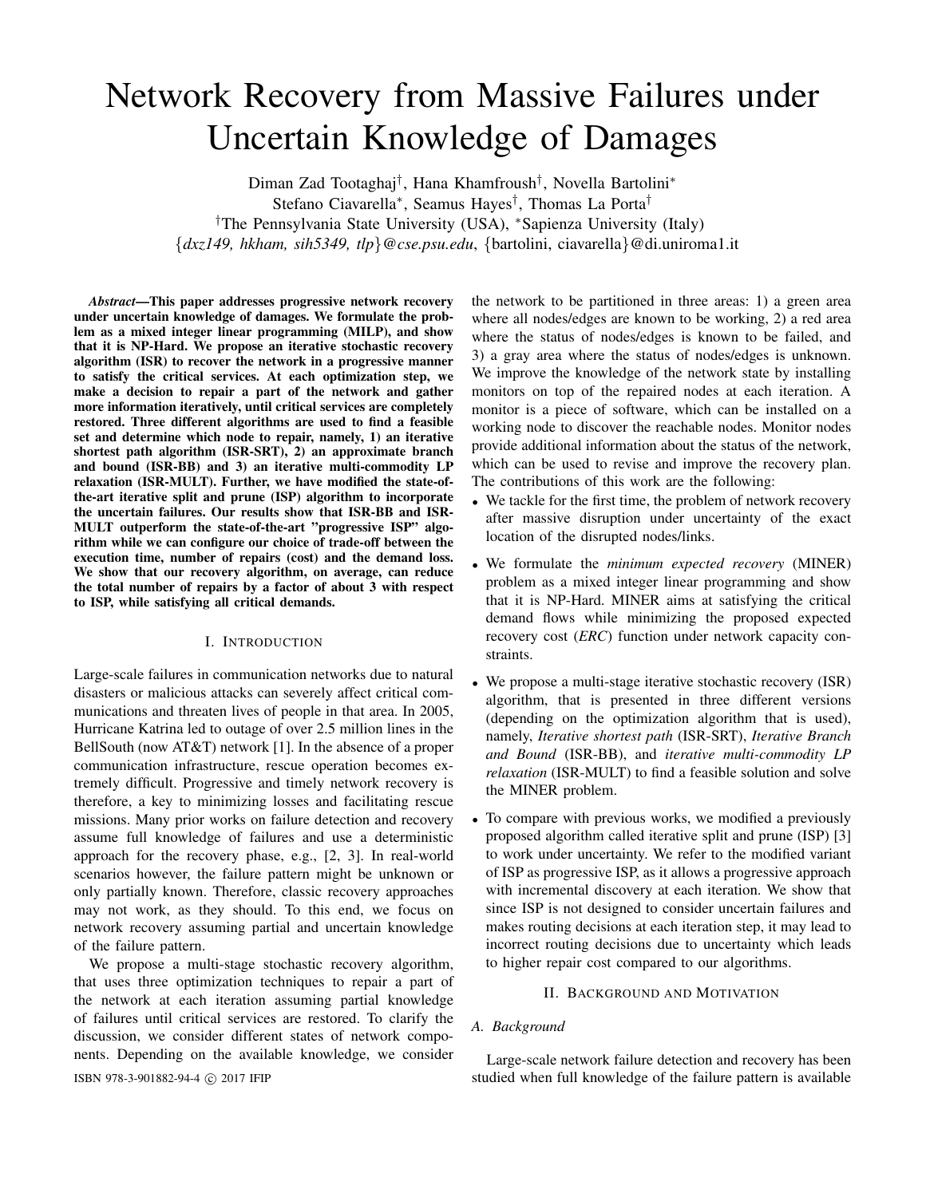# Network Recovery from Massive Failures under Uncertain Knowledge of Damages

Diman Zad Tootaghaj† , Hana Khamfroush† , Novella Bartolini<sup>∗</sup>

Stefano Ciavarella<sup>∗</sup> , Seamus Hayes† , Thomas La Porta†

†The Pennsylvania State University (USA), <sup>∗</sup>Sapienza University (Italy)

{*dxz149, hkham, sih5349, tlp*}*@cse.psu.edu*, {bartolini, ciavarella}@di.uniroma1.it

*Abstract*—This paper addresses progressive network recovery under uncertain knowledge of damages. We formulate the problem as a mixed integer linear programming (MILP), and show that it is NP-Hard. We propose an iterative stochastic recovery algorithm (ISR) to recover the network in a progressive manner to satisfy the critical services. At each optimization step, we make a decision to repair a part of the network and gather more information iteratively, until critical services are completely restored. Three different algorithms are used to find a feasible set and determine which node to repair, namely, 1) an iterative shortest path algorithm (ISR-SRT), 2) an approximate branch and bound (ISR-BB) and 3) an iterative multi-commodity LP relaxation (ISR-MULT). Further, we have modified the state-ofthe-art iterative split and prune (ISP) algorithm to incorporate the uncertain failures. Our results show that ISR-BB and ISR-MULT outperform the state-of-the-art "progressive ISP" algorithm while we can configure our choice of trade-off between the execution time, number of repairs (cost) and the demand loss. We show that our recovery algorithm, on average, can reduce the total number of repairs by a factor of about 3 with respect to ISP, while satisfying all critical demands.

## I. INTRODUCTION

Large-scale failures in communication networks due to natural disasters or malicious attacks can severely affect critical communications and threaten lives of people in that area. In 2005, Hurricane Katrina led to outage of over 2.5 million lines in the BellSouth (now AT&T) network [1]. In the absence of a proper communication infrastructure, rescue operation becomes extremely difficult. Progressive and timely network recovery is therefore, a key to minimizing losses and facilitating rescue missions. Many prior works on failure detection and recovery assume full knowledge of failures and use a deterministic approach for the recovery phase, e.g., [2, 3]. In real-world scenarios however, the failure pattern might be unknown or only partially known. Therefore, classic recovery approaches may not work, as they should. To this end, we focus on network recovery assuming partial and uncertain knowledge of the failure pattern.

We propose a multi-stage stochastic recovery algorithm, that uses three optimization techniques to repair a part of the network at each iteration assuming partial knowledge of failures until critical services are restored. To clarify the discussion, we consider different states of network components. Depending on the available knowledge, we consider the network to be partitioned in three areas: 1) a green area where all nodes/edges are known to be working, 2) a red area where the status of nodes/edges is known to be failed, and 3) a gray area where the status of nodes/edges is unknown. We improve the knowledge of the network state by installing monitors on top of the repaired nodes at each iteration. A monitor is a piece of software, which can be installed on a working node to discover the reachable nodes. Monitor nodes provide additional information about the status of the network, which can be used to revise and improve the recovery plan. The contributions of this work are the following:

- We tackle for the first time, the problem of network recovery after massive disruption under uncertainty of the exact location of the disrupted nodes/links.
- We formulate the *minimum expected recovery* (MINER) problem as a mixed integer linear programming and show that it is NP-Hard. MINER aims at satisfying the critical demand flows while minimizing the proposed expected recovery cost (*ERC*) function under network capacity constraints.
- We propose a multi-stage iterative stochastic recovery (ISR) algorithm, that is presented in three different versions (depending on the optimization algorithm that is used), namely, *Iterative shortest path* (ISR-SRT), *Iterative Branch and Bound* (ISR-BB), and *iterative multi-commodity LP relaxation* (ISR-MULT) to find a feasible solution and solve the MINER problem.
- To compare with previous works, we modified a previously proposed algorithm called iterative split and prune (ISP) [3] to work under uncertainty. We refer to the modified variant of ISP as progressive ISP, as it allows a progressive approach with incremental discovery at each iteration. We show that since ISP is not designed to consider uncertain failures and makes routing decisions at each iteration step, it may lead to incorrect routing decisions due to uncertainty which leads to higher repair cost compared to our algorithms.

#### II. BACKGROUND AND MOTIVATION

## *A. Background*

Large-scale network failure detection and recovery has been ISBN 978-3-901882-94-4 c 2017 IFIP studied when full knowledge of the failure pattern is available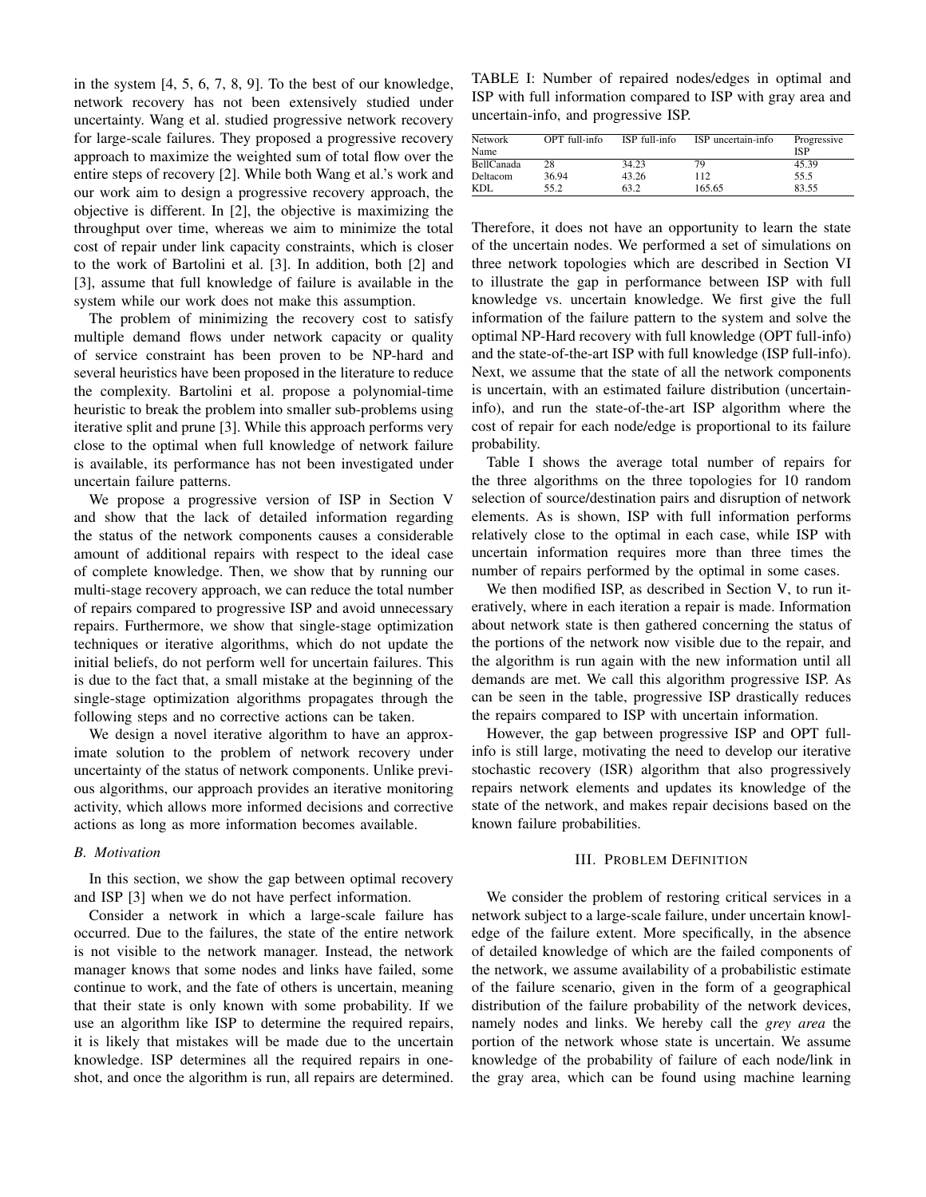in the system [4, 5, 6, 7, 8, 9]. To the best of our knowledge, network recovery has not been extensively studied under uncertainty. Wang et al. studied progressive network recovery for large-scale failures. They proposed a progressive recovery approach to maximize the weighted sum of total flow over the entire steps of recovery [2]. While both Wang et al.'s work and our work aim to design a progressive recovery approach, the objective is different. In [2], the objective is maximizing the throughput over time, whereas we aim to minimize the total cost of repair under link capacity constraints, which is closer to the work of Bartolini et al. [3]. In addition, both [2] and [3], assume that full knowledge of failure is available in the system while our work does not make this assumption.

The problem of minimizing the recovery cost to satisfy multiple demand flows under network capacity or quality of service constraint has been proven to be NP-hard and several heuristics have been proposed in the literature to reduce the complexity. Bartolini et al. propose a polynomial-time heuristic to break the problem into smaller sub-problems using iterative split and prune [3]. While this approach performs very close to the optimal when full knowledge of network failure is available, its performance has not been investigated under uncertain failure patterns.

We propose a progressive version of ISP in Section V and show that the lack of detailed information regarding the status of the network components causes a considerable amount of additional repairs with respect to the ideal case of complete knowledge. Then, we show that by running our multi-stage recovery approach, we can reduce the total number of repairs compared to progressive ISP and avoid unnecessary repairs. Furthermore, we show that single-stage optimization techniques or iterative algorithms, which do not update the initial beliefs, do not perform well for uncertain failures. This is due to the fact that, a small mistake at the beginning of the single-stage optimization algorithms propagates through the following steps and no corrective actions can be taken.

We design a novel iterative algorithm to have an approximate solution to the problem of network recovery under uncertainty of the status of network components. Unlike previous algorithms, our approach provides an iterative monitoring activity, which allows more informed decisions and corrective actions as long as more information becomes available.

#### *B. Motivation*

In this section, we show the gap between optimal recovery and ISP [3] when we do not have perfect information.

Consider a network in which a large-scale failure has occurred. Due to the failures, the state of the entire network is not visible to the network manager. Instead, the network manager knows that some nodes and links have failed, some continue to work, and the fate of others is uncertain, meaning that their state is only known with some probability. If we use an algorithm like ISP to determine the required repairs, it is likely that mistakes will be made due to the uncertain knowledge. ISP determines all the required repairs in oneshot, and once the algorithm is run, all repairs are determined.

TABLE I: Number of repaired nodes/edges in optimal and ISP with full information compared to ISP with gray area and uncertain-info, and progressive ISP.

| Network<br>Name | OPT full-info | ISP full-info | ISP uncertain-info | Progressive<br><b>ISP</b> |
|-----------------|---------------|---------------|--------------------|---------------------------|
| BellCanada      | 28            | 34.23         | 79                 | 45.39                     |
| Deltacom        | 36.94         | 43.26         | 112                | 55.5                      |
| KDL             | 55.2          | 63.2          | 165.65             | 83.55                     |

Therefore, it does not have an opportunity to learn the state of the uncertain nodes. We performed a set of simulations on three network topologies which are described in Section VI to illustrate the gap in performance between ISP with full knowledge vs. uncertain knowledge. We first give the full information of the failure pattern to the system and solve the optimal NP-Hard recovery with full knowledge (OPT full-info) and the state-of-the-art ISP with full knowledge (ISP full-info). Next, we assume that the state of all the network components is uncertain, with an estimated failure distribution (uncertaininfo), and run the state-of-the-art ISP algorithm where the cost of repair for each node/edge is proportional to its failure probability.

Table I shows the average total number of repairs for the three algorithms on the three topologies for 10 random selection of source/destination pairs and disruption of network elements. As is shown, ISP with full information performs relatively close to the optimal in each case, while ISP with uncertain information requires more than three times the number of repairs performed by the optimal in some cases.

We then modified ISP, as described in Section V, to run iteratively, where in each iteration a repair is made. Information about network state is then gathered concerning the status of the portions of the network now visible due to the repair, and the algorithm is run again with the new information until all demands are met. We call this algorithm progressive ISP. As can be seen in the table, progressive ISP drastically reduces the repairs compared to ISP with uncertain information.

However, the gap between progressive ISP and OPT fullinfo is still large, motivating the need to develop our iterative stochastic recovery (ISR) algorithm that also progressively repairs network elements and updates its knowledge of the state of the network, and makes repair decisions based on the known failure probabilities.

#### III. PROBLEM DEFINITION

We consider the problem of restoring critical services in a network subject to a large-scale failure, under uncertain knowledge of the failure extent. More specifically, in the absence of detailed knowledge of which are the failed components of the network, we assume availability of a probabilistic estimate of the failure scenario, given in the form of a geographical distribution of the failure probability of the network devices, namely nodes and links. We hereby call the *grey area* the portion of the network whose state is uncertain. We assume knowledge of the probability of failure of each node/link in the gray area, which can be found using machine learning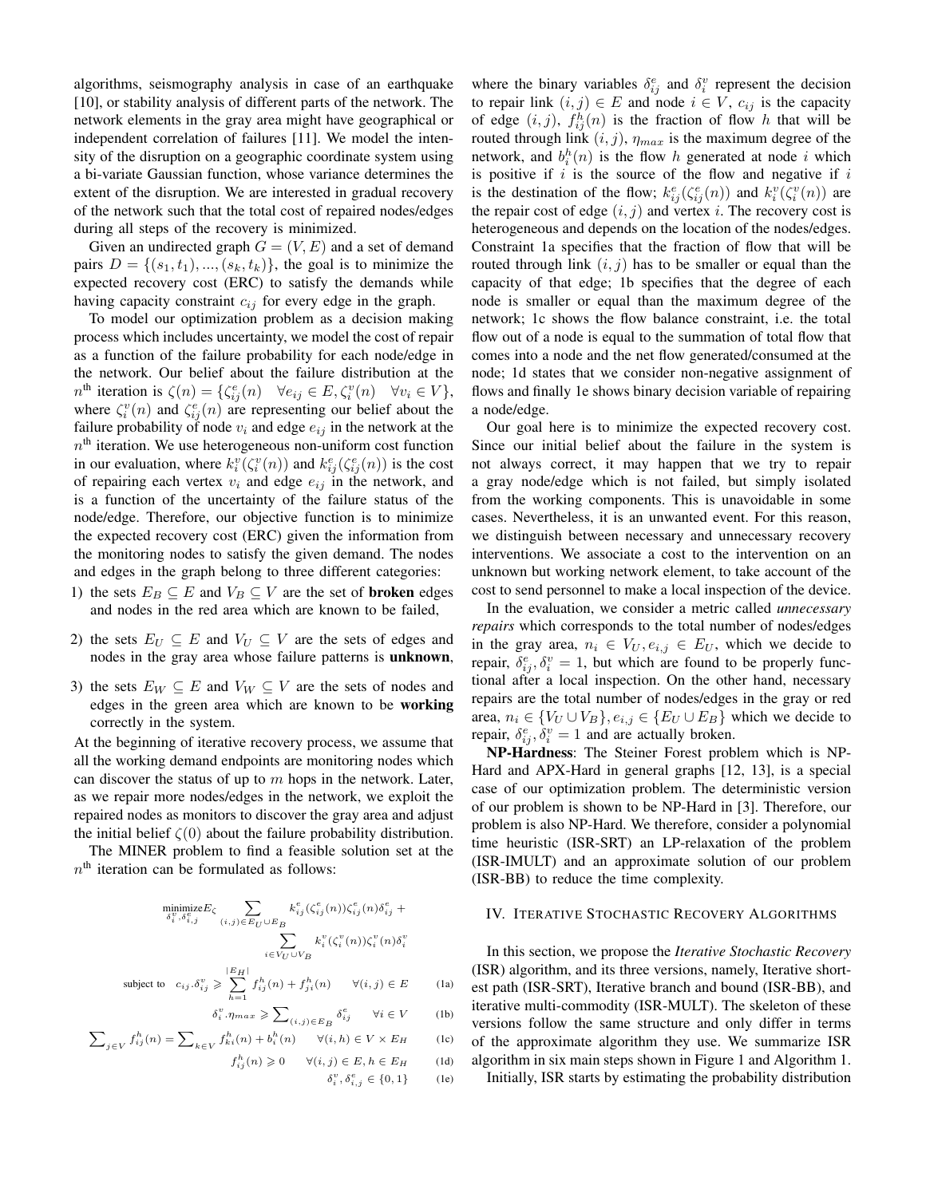algorithms, seismography analysis in case of an earthquake [10], or stability analysis of different parts of the network. The network elements in the gray area might have geographical or independent correlation of failures [11]. We model the intensity of the disruption on a geographic coordinate system using a bi-variate Gaussian function, whose variance determines the extent of the disruption. We are interested in gradual recovery of the network such that the total cost of repaired nodes/edges during all steps of the recovery is minimized.

Given an undirected graph  $G = (V, E)$  and a set of demand pairs  $D = \{(s_1, t_1), ..., (s_k, t_k)\}\$ , the goal is to minimize the expected recovery cost (ERC) to satisfy the demands while having capacity constraint  $c_{ij}$  for every edge in the graph.

To model our optimization problem as a decision making process which includes uncertainty, we model the cost of repair as a function of the failure probability for each node/edge in the network. Our belief about the failure distribution at the  $n^{\text{th}}$  iteration is  $\zeta(n) = \{ \zeta_{ij}^e(n) \quad \forall e_{ij} \in E, \zeta_i^v(n) \quad \forall v_i \in V \},$ where  $\zeta_i^v(n)$  and  $\zeta_{ij}^e(n)$  are representing our belief about the failure probability of node  $v_i$  and edge  $e_{ij}$  in the network at the  $n<sup>th</sup>$  iteration. We use heterogeneous non-uniform cost function in our evaluation, where  $k_i^v(\zeta_i^v(n))$  and  $k_{ij}^e(\zeta_{ij}^e(n))$  is the cost of repairing each vertex  $v_i$  and edge  $e_{ij}$  in the network, and is a function of the uncertainty of the failure status of the node/edge. Therefore, our objective function is to minimize the expected recovery cost (ERC) given the information from the monitoring nodes to satisfy the given demand. The nodes and edges in the graph belong to three different categories:

- 1) the sets  $E_B \subseteq E$  and  $V_B \subseteq V$  are the set of **broken** edges and nodes in the red area which are known to be failed,
- 2) the sets  $E_U \subseteq E$  and  $V_U \subseteq V$  are the sets of edges and nodes in the gray area whose failure patterns is unknown,
- 3) the sets  $E_W \subseteq E$  and  $V_W \subseteq V$  are the sets of nodes and edges in the green area which are known to be working correctly in the system.

At the beginning of iterative recovery process, we assume that all the working demand endpoints are monitoring nodes which can discover the status of up to  $m$  hops in the network. Later, as we repair more nodes/edges in the network, we exploit the repaired nodes as monitors to discover the gray area and adjust the initial belief  $\zeta(0)$  about the failure probability distribution.

The MINER problem to find a feasible solution set at the  $n<sup>th</sup>$  iteration can be formulated as follows:

$$
\begin{aligned}\n\underset{\delta_i^v, \delta_{i,j}^e}{\text{minimize}} E_{\zeta} &\sum_{(i,j) \in E_U \cup E_B} k_{ij}^e(\zeta_{ij}^e(n)) \zeta_{ij}^e(n) \delta_{ij}^e + \\
&\sum_{i \in V_U \cup V_B} k_i^v(\zeta_i^v(n)) \zeta_i^v(n) \delta_i^v \\
\text{select to} &\sum_{(i,j) \in E} \frac{|E_H|}{\zeta_i^h(n) + f_U^h(n)} \quad \forall (i,j) \in E\n\end{aligned}
$$

subject to 
$$
c_{ij} \delta_{ij}^v \ge \sum_{h=1} f_{ij}^h(n) + f_{ji}^h(n) \qquad \forall (i, j) \in E
$$
 (1a)

$$
\delta_i^v \cdot \eta_{max} \geqslant \sum_{(i,j) \in E_B} \delta_{ij}^e \qquad \forall i \in V \tag{1b}
$$

$$
\sum_{j \in V} f_{ij}^h(n) = \sum_{k \in V} f_{ki}^h(n) + b_i^h(n) \qquad \forall (i, h) \in V \times E_H \qquad (1c)
$$
  

$$
f_{ij}^h(n) \geq 0 \qquad \forall (i, j) \in E, h \in E_H \qquad (1d)
$$

$$
h_{ij}^h(n) \geq 0 \qquad \forall (i, j) \in E, h \in E_H \tag{1d}
$$

$$
\delta_i^v, \delta_{i,j}^e \in \{0, 1\} \tag{1e}
$$

where the binary variables  $\delta_{ij}^e$  and  $\delta_i^v$  represent the decision to repair link  $(i, j) \in E$  and node  $i \in V$ ,  $c_{ij}$  is the capacity of edge  $(i, j)$ ,  $f_{ij}^h(n)$  is the fraction of flow h that will be routed through link  $(i, j)$ ,  $\eta_{max}$  is the maximum degree of the network, and  $b_i^h(n)$  is the flow h generated at node i which is positive if  $i$  is the source of the flow and negative if  $i$ is the destination of the flow;  $k_{ij}^e(\zeta_{ij}^e(n))$  and  $k_i^v(\zeta_i^v(n))$  are the repair cost of edge  $(i, j)$  and vertex i. The recovery cost is heterogeneous and depends on the location of the nodes/edges. Constraint 1a specifies that the fraction of flow that will be routed through link  $(i, j)$  has to be smaller or equal than the capacity of that edge; 1b specifies that the degree of each node is smaller or equal than the maximum degree of the network; 1c shows the flow balance constraint, i.e. the total flow out of a node is equal to the summation of total flow that comes into a node and the net flow generated/consumed at the node; 1d states that we consider non-negative assignment of flows and finally 1e shows binary decision variable of repairing a node/edge.

Our goal here is to minimize the expected recovery cost. Since our initial belief about the failure in the system is not always correct, it may happen that we try to repair a gray node/edge which is not failed, but simply isolated from the working components. This is unavoidable in some cases. Nevertheless, it is an unwanted event. For this reason, we distinguish between necessary and unnecessary recovery interventions. We associate a cost to the intervention on an unknown but working network element, to take account of the cost to send personnel to make a local inspection of the device.

In the evaluation, we consider a metric called *unnecessary repairs* which corresponds to the total number of nodes/edges in the gray area,  $n_i \in V_U, e_{i,j} \in E_U$ , which we decide to repair,  $\delta_{ij}^e, \delta_i^v = 1$ , but which are found to be properly functional after a local inspection. On the other hand, necessary repairs are the total number of nodes/edges in the gray or red area,  $n_i \in \{V_U \cup V_B\}, e_{i,j} \in \{E_U \cup E_B\}$  which we decide to repair,  $\delta_{ij}^e, \delta_i^v = 1$  and are actually broken.

NP-Hardness: The Steiner Forest problem which is NP-Hard and APX-Hard in general graphs [12, 13], is a special case of our optimization problem. The deterministic version of our problem is shown to be NP-Hard in [3]. Therefore, our problem is also NP-Hard. We therefore, consider a polynomial time heuristic (ISR-SRT) an LP-relaxation of the problem (ISR-IMULT) and an approximate solution of our problem (ISR-BB) to reduce the time complexity.

# IV. ITERATIVE STOCHASTIC RECOVERY ALGORITHMS

In this section, we propose the *Iterative Stochastic Recovery* (ISR) algorithm, and its three versions, namely, Iterative shortest path (ISR-SRT), Iterative branch and bound (ISR-BB), and iterative multi-commodity (ISR-MULT). The skeleton of these versions follow the same structure and only differ in terms of the approximate algorithm they use. We summarize ISR algorithm in six main steps shown in Figure 1 and Algorithm 1.

Initially, ISR starts by estimating the probability distribution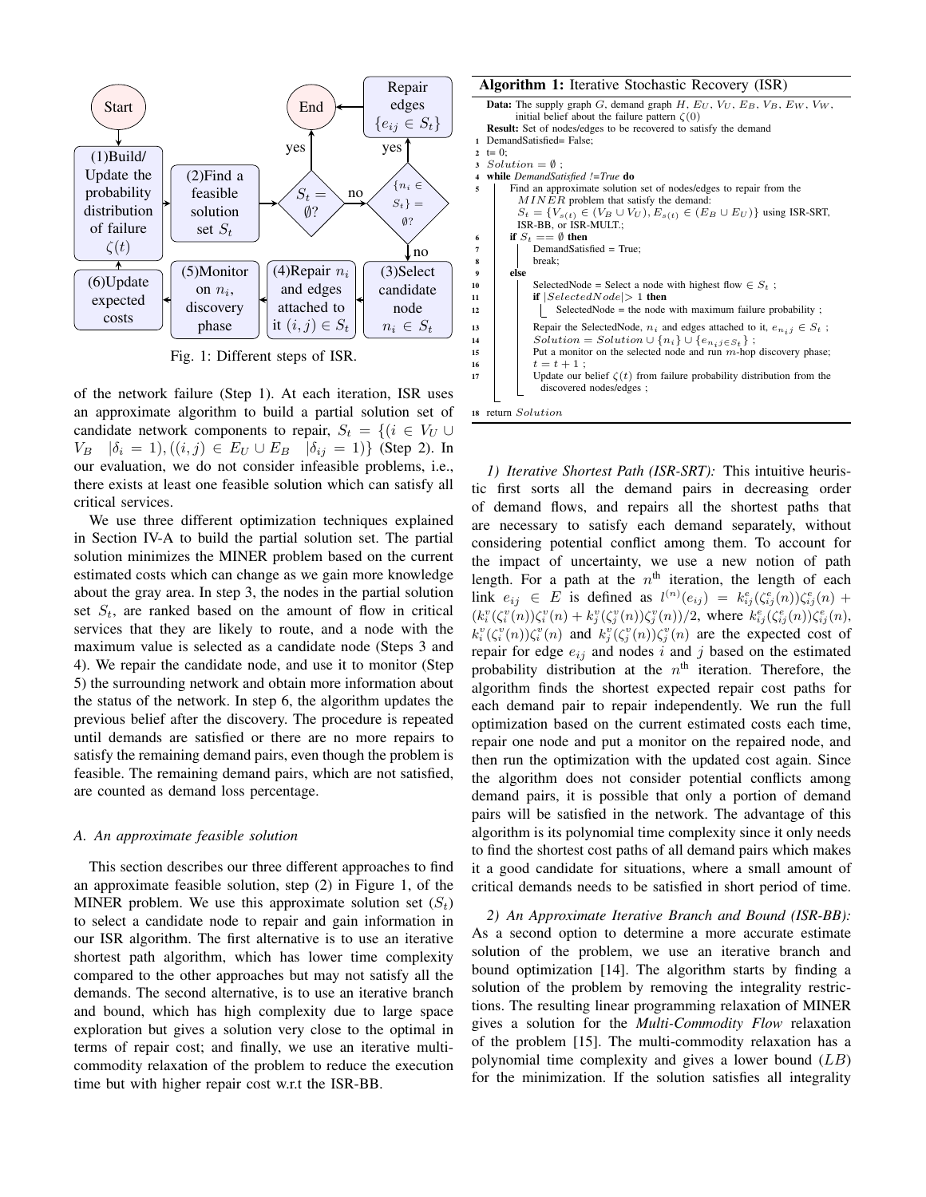

Fig. 1: Different steps of ISR.

of the network failure (Step 1). At each iteration, ISR uses an approximate algorithm to build a partial solution set of candidate network components to repair,  $S_t = \{(i \in V_U \cup$  $V_B$   $|\delta_i = 1$ ,  $((i, j) \in E_U \cup E_B$   $|\delta_{ij} = 1\rangle$  (Step 2). In our evaluation, we do not consider infeasible problems, i.e., there exists at least one feasible solution which can satisfy all critical services.

We use three different optimization techniques explained in Section IV-A to build the partial solution set. The partial solution minimizes the MINER problem based on the current estimated costs which can change as we gain more knowledge about the gray area. In step 3, the nodes in the partial solution set  $S_t$ , are ranked based on the amount of flow in critical services that they are likely to route, and a node with the maximum value is selected as a candidate node (Steps 3 and 4). We repair the candidate node, and use it to monitor (Step 5) the surrounding network and obtain more information about the status of the network. In step 6, the algorithm updates the previous belief after the discovery. The procedure is repeated until demands are satisfied or there are no more repairs to satisfy the remaining demand pairs, even though the problem is feasible. The remaining demand pairs, which are not satisfied, are counted as demand loss percentage.

#### *A. An approximate feasible solution*

This section describes our three different approaches to find an approximate feasible solution, step (2) in Figure 1, of the MINER problem. We use this approximate solution set  $(S_t)$ to select a candidate node to repair and gain information in our ISR algorithm. The first alternative is to use an iterative shortest path algorithm, which has lower time complexity compared to the other approaches but may not satisfy all the demands. The second alternative, is to use an iterative branch and bound, which has high complexity due to large space exploration but gives a solution very close to the optimal in terms of repair cost; and finally, we use an iterative multicommodity relaxation of the problem to reduce the execution time but with higher repair cost w.r.t the ISR-BB.



*1) Iterative Shortest Path (ISR-SRT):* This intuitive heuristic first sorts all the demand pairs in decreasing order of demand flows, and repairs all the shortest paths that are necessary to satisfy each demand separately, without considering potential conflict among them. To account for the impact of uncertainty, we use a new notion of path length. For a path at the  $n^{\text{th}}$  iteration, the length of each link  $e_{ij} \in E$  is defined as  $l^{(n)}(e_{ij}) = k_{ij}^e(\zeta_{ij}^e(n))\zeta_{ij}^e(n)$  +  $(k_i^v(\zeta_i^v(n))\zeta_i^v(n) + k_j^v(\zeta_j^v(n))\zeta_j^v(n))/2$ , where  $k_{ij}^e(\zeta_{ij}^e(n))\zeta_{ij}^e(n)$ ,  $k_i^v(\zeta_i^v(n))\zeta_i^v(n)$  and  $k_j^v(\zeta_j^v(n))\zeta_j^v(n)$  are the expected cost of repair for edge  $e_{ij}$  and nodes i and j based on the estimated probability distribution at the  $n^{\text{th}}$  iteration. Therefore, the algorithm finds the shortest expected repair cost paths for each demand pair to repair independently. We run the full optimization based on the current estimated costs each time, repair one node and put a monitor on the repaired node, and then run the optimization with the updated cost again. Since the algorithm does not consider potential conflicts among demand pairs, it is possible that only a portion of demand pairs will be satisfied in the network. The advantage of this algorithm is its polynomial time complexity since it only needs to find the shortest cost paths of all demand pairs which makes it a good candidate for situations, where a small amount of critical demands needs to be satisfied in short period of time.

*2) An Approximate Iterative Branch and Bound (ISR-BB):* As a second option to determine a more accurate estimate solution of the problem, we use an iterative branch and bound optimization [14]. The algorithm starts by finding a solution of the problem by removing the integrality restrictions. The resulting linear programming relaxation of MINER gives a solution for the *Multi-Commodity Flow* relaxation of the problem [15]. The multi-commodity relaxation has a polynomial time complexity and gives a lower bound (LB) for the minimization. If the solution satisfies all integrality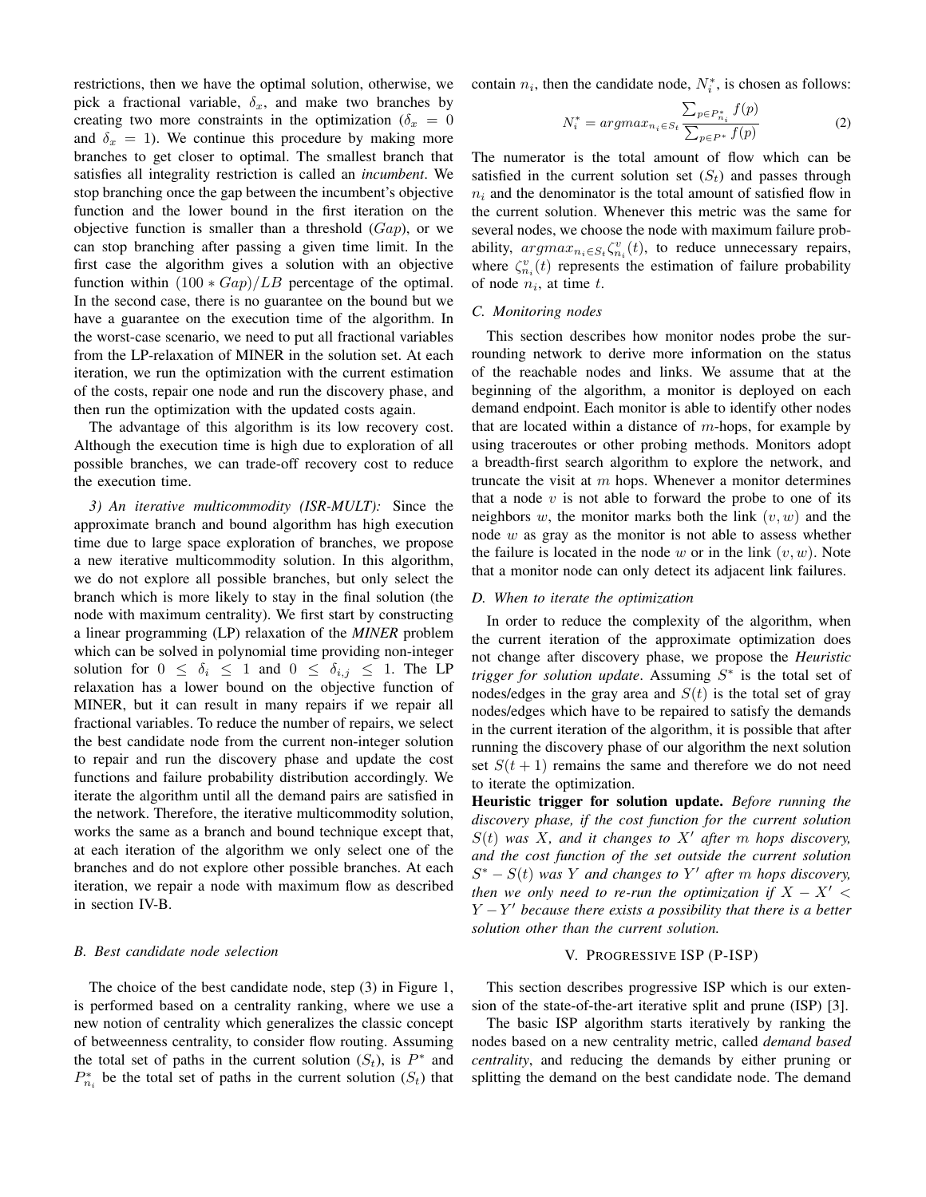restrictions, then we have the optimal solution, otherwise, we pick a fractional variable,  $\delta_x$ , and make two branches by creating two more constraints in the optimization ( $\delta_x = 0$ and  $\delta_x = 1$ ). We continue this procedure by making more branches to get closer to optimal. The smallest branch that satisfies all integrality restriction is called an *incumbent*. We stop branching once the gap between the incumbent's objective function and the lower bound in the first iteration on the objective function is smaller than a threshold  $(Gap)$ , or we can stop branching after passing a given time limit. In the first case the algorithm gives a solution with an objective function within  $(100 * Gap)/LB$  percentage of the optimal. In the second case, there is no guarantee on the bound but we have a guarantee on the execution time of the algorithm. In the worst-case scenario, we need to put all fractional variables from the LP-relaxation of MINER in the solution set. At each iteration, we run the optimization with the current estimation of the costs, repair one node and run the discovery phase, and then run the optimization with the updated costs again.

The advantage of this algorithm is its low recovery cost. Although the execution time is high due to exploration of all possible branches, we can trade-off recovery cost to reduce the execution time.

*3) An iterative multicommodity (ISR-MULT):* Since the approximate branch and bound algorithm has high execution time due to large space exploration of branches, we propose a new iterative multicommodity solution. In this algorithm, we do not explore all possible branches, but only select the branch which is more likely to stay in the final solution (the node with maximum centrality). We first start by constructing a linear programming (LP) relaxation of the *MINER* problem which can be solved in polynomial time providing non-integer solution for  $0 \leq \delta_i \leq 1$  and  $0 \leq \delta_{i,j} \leq 1$ . The LP relaxation has a lower bound on the objective function of MINER, but it can result in many repairs if we repair all fractional variables. To reduce the number of repairs, we select the best candidate node from the current non-integer solution to repair and run the discovery phase and update the cost functions and failure probability distribution accordingly. We iterate the algorithm until all the demand pairs are satisfied in the network. Therefore, the iterative multicommodity solution, works the same as a branch and bound technique except that, at each iteration of the algorithm we only select one of the branches and do not explore other possible branches. At each iteration, we repair a node with maximum flow as described in section IV-B.

## *B. Best candidate node selection*

The choice of the best candidate node, step (3) in Figure 1, is performed based on a centrality ranking, where we use a new notion of centrality which generalizes the classic concept of betweenness centrality, to consider flow routing. Assuming the total set of paths in the current solution  $(S_t)$ , is  $P^*$  and  $P_{n_i}^*$  be the total set of paths in the current solution  $(S_t)$  that contain  $n_i$ , then the candidate node,  $N_i^*$ , is chosen as follows:

$$
N_i^* = argmax_{n_i \in S_t} \frac{\sum_{p \in P_{n_i}^*} f(p)}{\sum_{p \in P^*} f(p)}
$$
(2)

The numerator is the total amount of flow which can be satisfied in the current solution set  $(S_t)$  and passes through  $n_i$  and the denominator is the total amount of satisfied flow in the current solution. Whenever this metric was the same for several nodes, we choose the node with maximum failure probability,  $argmax_{n_i \in S_t} \zeta_{n_i}^v(t)$ , to reduce unnecessary repairs, where  $\zeta_{n_i}^v(t)$  represents the estimation of failure probability of node  $n_i$ , at time t.

#### *C. Monitoring nodes*

This section describes how monitor nodes probe the surrounding network to derive more information on the status of the reachable nodes and links. We assume that at the beginning of the algorithm, a monitor is deployed on each demand endpoint. Each monitor is able to identify other nodes that are located within a distance of  $m$ -hops, for example by using traceroutes or other probing methods. Monitors adopt a breadth-first search algorithm to explore the network, and truncate the visit at  $m$  hops. Whenever a monitor determines that a node  $v$  is not able to forward the probe to one of its neighbors w, the monitor marks both the link  $(v, w)$  and the node  $w$  as gray as the monitor is not able to assess whether the failure is located in the node w or in the link  $(v, w)$ . Note that a monitor node can only detect its adjacent link failures.

## *D. When to iterate the optimization*

In order to reduce the complexity of the algorithm, when the current iteration of the approximate optimization does not change after discovery phase, we propose the *Heuristic trigger for solution update.* Assuming  $S^*$  is the total set of nodes/edges in the gray area and  $S(t)$  is the total set of gray nodes/edges which have to be repaired to satisfy the demands in the current iteration of the algorithm, it is possible that after running the discovery phase of our algorithm the next solution set  $S(t + 1)$  remains the same and therefore we do not need to iterate the optimization.

Heuristic trigger for solution update. *Before running the discovery phase, if the cost function for the current solution*  $S(t)$  was X, and it changes to X' after m hops discovery, *and the cost function of the set outside the current solution*  $S^* - S(t)$  was Y and changes to Y' after m hops discovery, *then we only need to re-run the optimization if*  $X - X' <$  $Y - Y'$  because there exists a possibility that there is a better *solution other than the current solution.*

# V. PROGRESSIVE ISP (P-ISP)

This section describes progressive ISP which is our extension of the state-of-the-art iterative split and prune (ISP) [3].

The basic ISP algorithm starts iteratively by ranking the nodes based on a new centrality metric, called *demand based centrality*, and reducing the demands by either pruning or splitting the demand on the best candidate node. The demand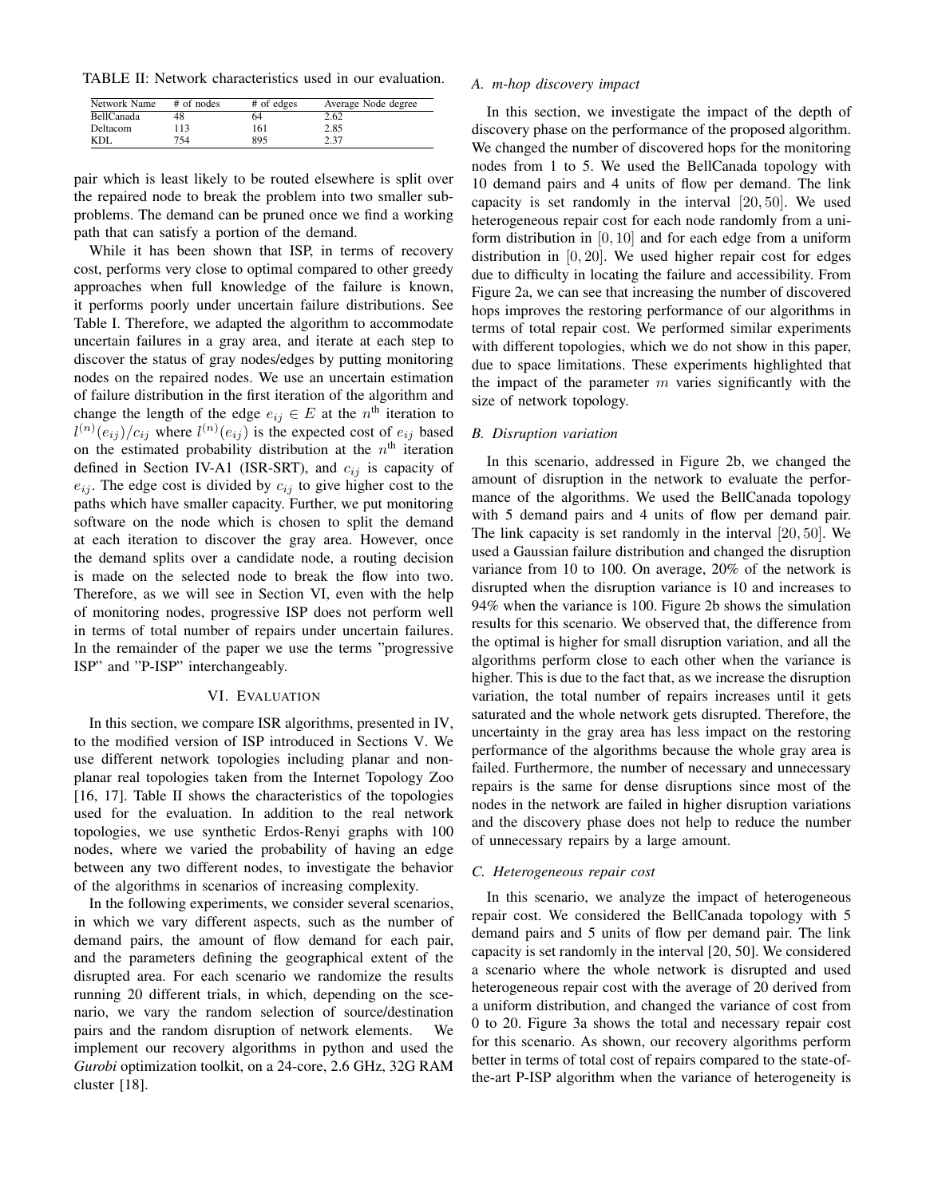TABLE II: Network characteristics used in our evaluation.

| Network Name | # of nodes | # of edges | Average Node degree |
|--------------|------------|------------|---------------------|
| BellCanada   | 48         | 64         | 2.62                |
| Deltacom     | 113        | 161        | 2.85                |
| <b>KDL</b>   | 754        | 895        | 2.37                |

pair which is least likely to be routed elsewhere is split over the repaired node to break the problem into two smaller subproblems. The demand can be pruned once we find a working path that can satisfy a portion of the demand.

While it has been shown that ISP, in terms of recovery cost, performs very close to optimal compared to other greedy approaches when full knowledge of the failure is known, it performs poorly under uncertain failure distributions. See Table I. Therefore, we adapted the algorithm to accommodate uncertain failures in a gray area, and iterate at each step to discover the status of gray nodes/edges by putting monitoring nodes on the repaired nodes. We use an uncertain estimation of failure distribution in the first iteration of the algorithm and change the length of the edge  $e_{ij} \in E$  at the  $n^{\text{th}}$  iteration to  $l^{(n)}(e_{ij})/c_{ij}$  where  $l^{(n)}(e_{ij})$  is the expected cost of  $e_{ij}$  based on the estimated probability distribution at the  $n<sup>th</sup>$  iteration defined in Section IV-A1 (ISR-SRT), and  $c_{ij}$  is capacity of  $e_{ij}$ . The edge cost is divided by  $c_{ij}$  to give higher cost to the paths which have smaller capacity. Further, we put monitoring software on the node which is chosen to split the demand at each iteration to discover the gray area. However, once the demand splits over a candidate node, a routing decision is made on the selected node to break the flow into two. Therefore, as we will see in Section VI, even with the help of monitoring nodes, progressive ISP does not perform well in terms of total number of repairs under uncertain failures. In the remainder of the paper we use the terms "progressive ISP" and "P-ISP" interchangeably.

## VI. EVALUATION

In this section, we compare ISR algorithms, presented in IV, to the modified version of ISP introduced in Sections V. We use different network topologies including planar and nonplanar real topologies taken from the Internet Topology Zoo [16, 17]. Table II shows the characteristics of the topologies used for the evaluation. In addition to the real network topologies, we use synthetic Erdos-Renyi graphs with 100 nodes, where we varied the probability of having an edge between any two different nodes, to investigate the behavior of the algorithms in scenarios of increasing complexity.

In the following experiments, we consider several scenarios, in which we vary different aspects, such as the number of demand pairs, the amount of flow demand for each pair, and the parameters defining the geographical extent of the disrupted area. For each scenario we randomize the results running 20 different trials, in which, depending on the scenario, we vary the random selection of source/destination pairs and the random disruption of network elements. We implement our recovery algorithms in python and used the *Gurobi* optimization toolkit, on a 24-core, 2.6 GHz, 32G RAM cluster [18].

#### *A. m-hop discovery impact*

In this section, we investigate the impact of the depth of discovery phase on the performance of the proposed algorithm. We changed the number of discovered hops for the monitoring nodes from 1 to 5. We used the BellCanada topology with 10 demand pairs and 4 units of flow per demand. The link capacity is set randomly in the interval [20, 50]. We used heterogeneous repair cost for each node randomly from a uniform distribution in [0, 10] and for each edge from a uniform distribution in [0, 20]. We used higher repair cost for edges due to difficulty in locating the failure and accessibility. From Figure 2a, we can see that increasing the number of discovered hops improves the restoring performance of our algorithms in terms of total repair cost. We performed similar experiments with different topologies, which we do not show in this paper, due to space limitations. These experiments highlighted that the impact of the parameter  $m$  varies significantly with the size of network topology.

#### *B. Disruption variation*

In this scenario, addressed in Figure 2b, we changed the amount of disruption in the network to evaluate the performance of the algorithms. We used the BellCanada topology with 5 demand pairs and 4 units of flow per demand pair. The link capacity is set randomly in the interval [20, 50]. We used a Gaussian failure distribution and changed the disruption variance from 10 to 100. On average, 20% of the network is disrupted when the disruption variance is 10 and increases to 94% when the variance is 100. Figure 2b shows the simulation results for this scenario. We observed that, the difference from the optimal is higher for small disruption variation, and all the algorithms perform close to each other when the variance is higher. This is due to the fact that, as we increase the disruption variation, the total number of repairs increases until it gets saturated and the whole network gets disrupted. Therefore, the uncertainty in the gray area has less impact on the restoring performance of the algorithms because the whole gray area is failed. Furthermore, the number of necessary and unnecessary repairs is the same for dense disruptions since most of the nodes in the network are failed in higher disruption variations and the discovery phase does not help to reduce the number of unnecessary repairs by a large amount.

## *C. Heterogeneous repair cost*

In this scenario, we analyze the impact of heterogeneous repair cost. We considered the BellCanada topology with 5 demand pairs and 5 units of flow per demand pair. The link capacity is set randomly in the interval [20, 50]. We considered a scenario where the whole network is disrupted and used heterogeneous repair cost with the average of 20 derived from a uniform distribution, and changed the variance of cost from 0 to 20. Figure 3a shows the total and necessary repair cost for this scenario. As shown, our recovery algorithms perform better in terms of total cost of repairs compared to the state-ofthe-art P-ISP algorithm when the variance of heterogeneity is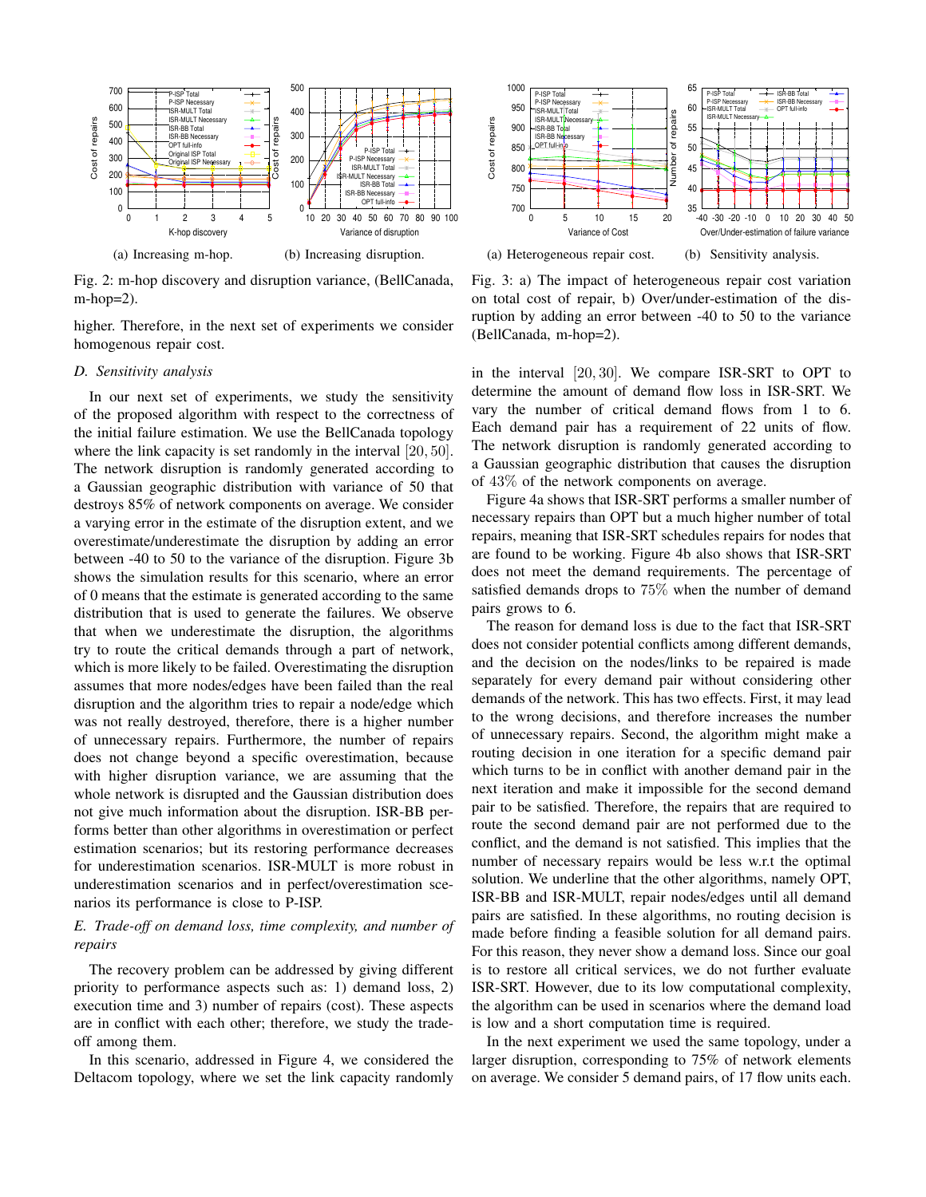

Fig. 2: m-hop discovery and disruption variance, (BellCanada,  $m-hop=2$ ).

higher. Therefore, in the next set of experiments we consider homogenous repair cost.

## *D. Sensitivity analysis*

In our next set of experiments, we study the sensitivity of the proposed algorithm with respect to the correctness of the initial failure estimation. We use the BellCanada topology where the link capacity is set randomly in the interval [20, 50]. The network disruption is randomly generated according to a Gaussian geographic distribution with variance of 50 that destroys 85% of network components on average. We consider a varying error in the estimate of the disruption extent, and we overestimate/underestimate the disruption by adding an error between -40 to 50 to the variance of the disruption. Figure 3b shows the simulation results for this scenario, where an error of 0 means that the estimate is generated according to the same distribution that is used to generate the failures. We observe that when we underestimate the disruption, the algorithms try to route the critical demands through a part of network, which is more likely to be failed. Overestimating the disruption assumes that more nodes/edges have been failed than the real disruption and the algorithm tries to repair a node/edge which was not really destroyed, therefore, there is a higher number of unnecessary repairs. Furthermore, the number of repairs does not change beyond a specific overestimation, because with higher disruption variance, we are assuming that the whole network is disrupted and the Gaussian distribution does not give much information about the disruption. ISR-BB performs better than other algorithms in overestimation or perfect estimation scenarios; but its restoring performance decreases for underestimation scenarios. ISR-MULT is more robust in underestimation scenarios and in perfect/overestimation scenarios its performance is close to P-ISP.

# *E. Trade-off on demand loss, time complexity, and number of repairs*

The recovery problem can be addressed by giving different priority to performance aspects such as: 1) demand loss, 2) execution time and 3) number of repairs (cost). These aspects are in conflict with each other; therefore, we study the tradeoff among them.

In this scenario, addressed in Figure 4, we considered the Deltacom topology, where we set the link capacity randomly



Fig. 3: a) The impact of heterogeneous repair cost variation on total cost of repair, b) Over/under-estimation of the disruption by adding an error between -40 to 50 to the variance (BellCanada, m-hop=2).

in the interval [20, 30]. We compare ISR-SRT to OPT to determine the amount of demand flow loss in ISR-SRT. We vary the number of critical demand flows from 1 to 6. Each demand pair has a requirement of 22 units of flow. The network disruption is randomly generated according to a Gaussian geographic distribution that causes the disruption of 43% of the network components on average.

Figure 4a shows that ISR-SRT performs a smaller number of necessary repairs than OPT but a much higher number of total repairs, meaning that ISR-SRT schedules repairs for nodes that are found to be working. Figure 4b also shows that ISR-SRT does not meet the demand requirements. The percentage of satisfied demands drops to 75% when the number of demand pairs grows to 6.

The reason for demand loss is due to the fact that ISR-SRT does not consider potential conflicts among different demands, and the decision on the nodes/links to be repaired is made separately for every demand pair without considering other demands of the network. This has two effects. First, it may lead to the wrong decisions, and therefore increases the number of unnecessary repairs. Second, the algorithm might make a routing decision in one iteration for a specific demand pair which turns to be in conflict with another demand pair in the next iteration and make it impossible for the second demand pair to be satisfied. Therefore, the repairs that are required to route the second demand pair are not performed due to the conflict, and the demand is not satisfied. This implies that the number of necessary repairs would be less w.r.t the optimal solution. We underline that the other algorithms, namely OPT, ISR-BB and ISR-MULT, repair nodes/edges until all demand pairs are satisfied. In these algorithms, no routing decision is made before finding a feasible solution for all demand pairs. For this reason, they never show a demand loss. Since our goal is to restore all critical services, we do not further evaluate ISR-SRT. However, due to its low computational complexity, the algorithm can be used in scenarios where the demand load is low and a short computation time is required.

In the next experiment we used the same topology, under a larger disruption, corresponding to 75% of network elements on average. We consider 5 demand pairs, of 17 flow units each.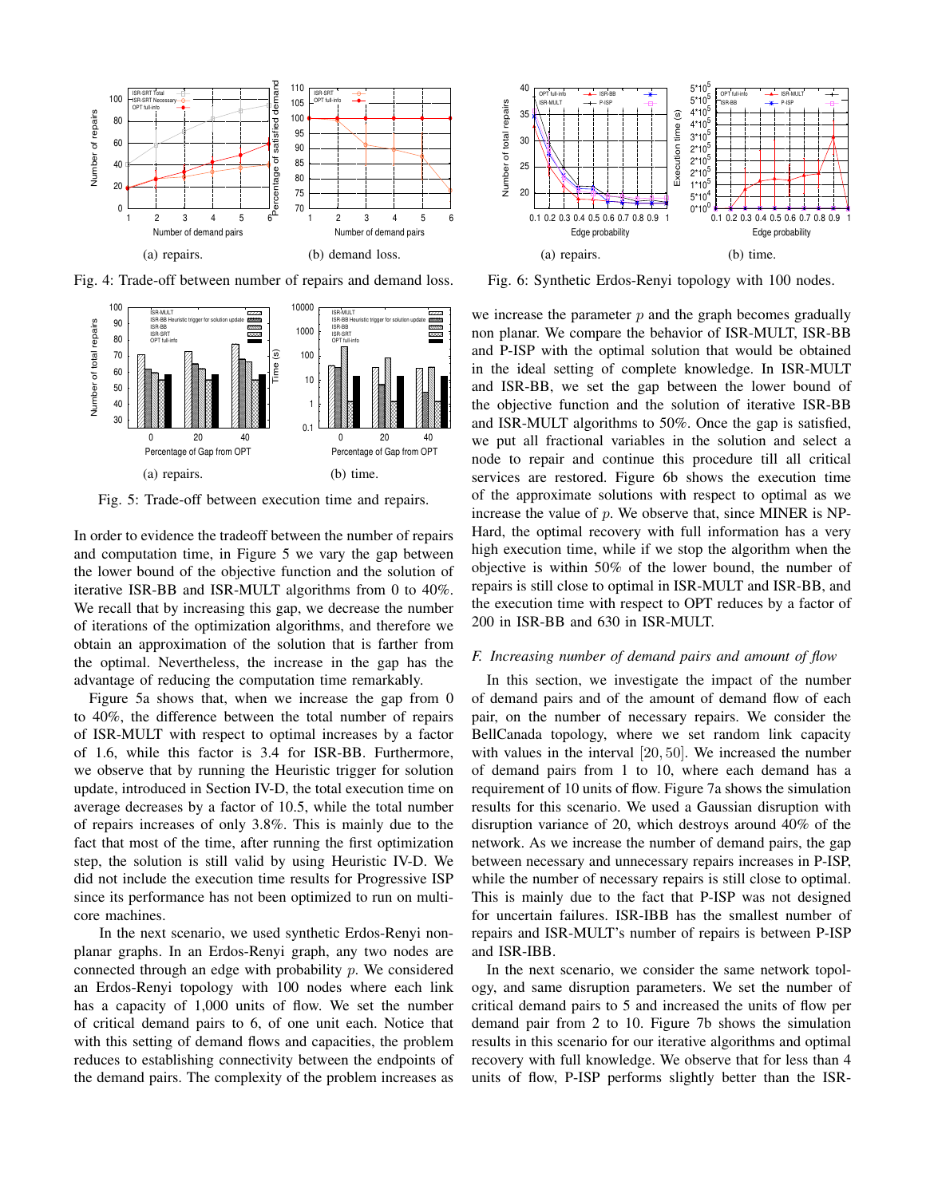

Fig. 4: Trade-off between number of repairs and demand loss.



Fig. 5: Trade-off between execution time and repairs.

In order to evidence the tradeoff between the number of repairs and computation time, in Figure 5 we vary the gap between the lower bound of the objective function and the solution of iterative ISR-BB and ISR-MULT algorithms from 0 to 40%. We recall that by increasing this gap, we decrease the number of iterations of the optimization algorithms, and therefore we obtain an approximation of the solution that is farther from the optimal. Nevertheless, the increase in the gap has the advantage of reducing the computation time remarkably.

Figure 5a shows that, when we increase the gap from 0 to 40%, the difference between the total number of repairs of ISR-MULT with respect to optimal increases by a factor of 1.6, while this factor is 3.4 for ISR-BB. Furthermore, we observe that by running the Heuristic trigger for solution update, introduced in Section IV-D, the total execution time on average decreases by a factor of 10.5, while the total number of repairs increases of only 3.8%. This is mainly due to the fact that most of the time, after running the first optimization step, the solution is still valid by using Heuristic IV-D. We did not include the execution time results for Progressive ISP since its performance has not been optimized to run on multicore machines. Complete the matrix of the demand bases of the state of the matrix of the complexity of the complete the state of the problem is a complete the problem increases by a factor. By the between the matrix of the problem inc

In the next scenario, we used synthetic Erdos-Renyi nonplanar graphs. In an Erdos-Renyi graph, any two nodes are connected through an edge with probability p. We considered an Erdos-Renyi topology with 100 nodes where each link has a capacity of 1,000 units of flow. We set the number of critical demand pairs to 6, of one unit each. Notice that with this setting of demand flows and capacities, the problem reduces to establishing connectivity between the endpoints of



Fig. 6: Synthetic Erdos-Renyi topology with 100 nodes.

we increase the parameter  $p$  and the graph becomes gradually non planar. We compare the behavior of ISR-MULT, ISR-BB and P-ISP with the optimal solution that would be obtained in the ideal setting of complete knowledge. In ISR-MULT and ISR-BB, we set the gap between the lower bound of the objective function and the solution of iterative ISR-BB and ISR-MULT algorithms to 50%. Once the gap is satisfied, we put all fractional variables in the solution and select a node to repair and continue this procedure till all critical services are restored. Figure 6b shows the execution time of the approximate solutions with respect to optimal as we increase the value of  $p$ . We observe that, since MINER is NP-Hard, the optimal recovery with full information has a very high execution time, while if we stop the algorithm when the objective is within 50% of the lower bound, the number of repairs is still close to optimal in ISR-MULT and ISR-BB, and the execution time with respect to OPT reduces by a factor of 200 in ISR-BB and 630 in ISR-MULT.

## *F. Increasing number of demand pairs and amount of flow*

In this section, we investigate the impact of the number of demand pairs and of the amount of demand flow of each pair, on the number of necessary repairs. We consider the BellCanada topology, where we set random link capacity with values in the interval [20, 50]. We increased the number of demand pairs from 1 to 10, where each demand has a requirement of 10 units of flow. Figure 7a shows the simulation results for this scenario. We used a Gaussian disruption with disruption variance of 20, which destroys around 40% of the network. As we increase the number of demand pairs, the gap between necessary and unnecessary repairs increases in P-ISP, while the number of necessary repairs is still close to optimal. This is mainly due to the fact that P-ISP was not designed for uncertain failures. ISR-IBB has the smallest number of repairs and ISR-MULT's number of repairs is between P-ISP and ISR-IBB.

In the next scenario, we consider the same network topology, and same disruption parameters. We set the number of critical demand pairs to 5 and increased the units of flow per demand pair from 2 to 10. Figure 7b shows the simulation results in this scenario for our iterative algorithms and optimal recovery with full knowledge. We observe that for less than 4 units of flow, P-ISP performs slightly better than the ISR-